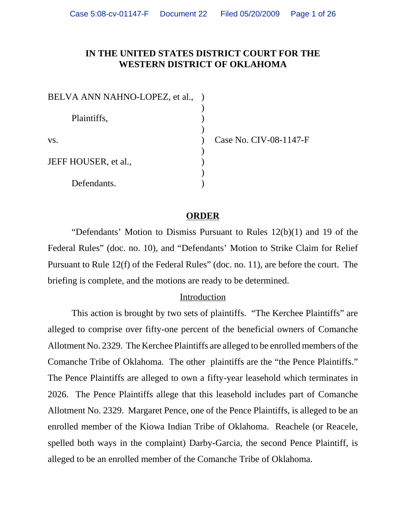## **IN THE UNITED STATES DISTRICT COURT FOR THE WESTERN DISTRICT OF OKLAHOMA**

| BELVA ANN NAHNO-LOPEZ, et al., |  |
|--------------------------------|--|
|                                |  |
| Plaintiffs,                    |  |
|                                |  |
| VS.                            |  |
|                                |  |
| JEFF HOUSER, et al.,           |  |
|                                |  |
| Defendants.                    |  |

Case No. CIV-08-1147-F

#### **ORDER**

"Defendants' Motion to Dismiss Pursuant to Rules 12(b)(1) and 19 of the Federal Rules" (doc. no. 10), and "Defendants' Motion to Strike Claim for Relief Pursuant to Rule 12(f) of the Federal Rules" (doc. no. 11), are before the court. The briefing is complete, and the motions are ready to be determined.

#### Introduction

This action is brought by two sets of plaintiffs. "The Kerchee Plaintiffs" are alleged to comprise over fifty-one percent of the beneficial owners of Comanche Allotment No. 2329. The Kerchee Plaintiffs are alleged to be enrolled members of the Comanche Tribe of Oklahoma. The other plaintiffs are the "the Pence Plaintiffs." The Pence Plaintiffs are alleged to own a fifty-year leasehold which terminates in 2026. The Pence Plaintiffs allege that this leasehold includes part of Comanche Allotment No. 2329. Margaret Pence, one of the Pence Plaintiffs, is alleged to be an enrolled member of the Kiowa Indian Tribe of Oklahoma. Reachele (or Reacele, spelled both ways in the complaint) Darby-Garcia, the second Pence Plaintiff, is alleged to be an enrolled member of the Comanche Tribe of Oklahoma.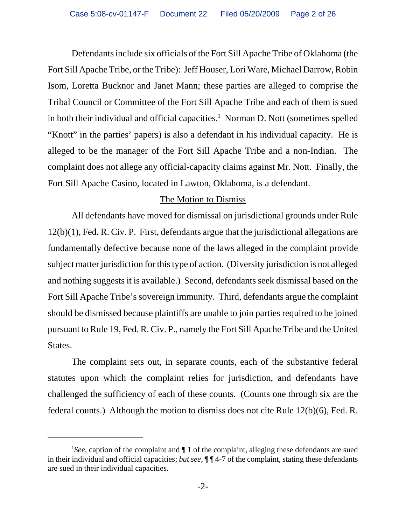Defendants include six officials of the Fort Sill Apache Tribe of Oklahoma (the Fort Sill Apache Tribe, or the Tribe): Jeff Houser, Lori Ware, Michael Darrow, Robin Isom, Loretta Bucknor and Janet Mann; these parties are alleged to comprise the Tribal Council or Committee of the Fort Sill Apache Tribe and each of them is sued in both their individual and official capacities.<sup>1</sup> Norman D. Nott (sometimes spelled "Knott" in the parties' papers) is also a defendant in his individual capacity. He is alleged to be the manager of the Fort Sill Apache Tribe and a non-Indian. The complaint does not allege any official-capacity claims against Mr. Nott. Finally, the Fort Sill Apache Casino, located in Lawton, Oklahoma, is a defendant.

#### The Motion to Dismiss

All defendants have moved for dismissal on jurisdictional grounds under Rule 12(b)(1), Fed. R. Civ. P. First, defendants argue that the jurisdictional allegations are fundamentally defective because none of the laws alleged in the complaint provide subject matter jurisdiction for this type of action. (Diversity jurisdiction is not alleged and nothing suggests it is available.) Second, defendants seek dismissal based on the Fort Sill Apache Tribe's sovereign immunity. Third, defendants argue the complaint should be dismissed because plaintiffs are unable to join parties required to be joined pursuant to Rule 19, Fed. R. Civ. P., namely the Fort Sill Apache Tribe and the United States.

The complaint sets out, in separate counts, each of the substantive federal statutes upon which the complaint relies for jurisdiction, and defendants have challenged the sufficiency of each of these counts. (Counts one through six are the federal counts.) Although the motion to dismiss does not cite Rule 12(b)(6), Fed. R.

<sup>&</sup>lt;sup>1</sup>See, caption of the complaint and  $\P$  1 of the complaint, alleging these defendants are sued in their individual and official capacities; *but see*, ¶ ¶ 4-7 of the complaint, stating these defendants are sued in their individual capacities.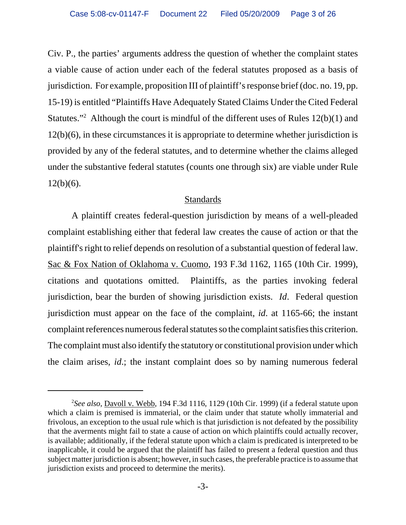Civ. P., the parties' arguments address the question of whether the complaint states a viable cause of action under each of the federal statutes proposed as a basis of jurisdiction. For example, proposition III of plaintiff's response brief (doc. no. 19, pp. 15-19) is entitled "Plaintiffs Have Adequately Stated Claims Under the Cited Federal Statutes."<sup>2</sup> Although the court is mindful of the different uses of Rules  $12(b)(1)$  and 12(b)(6), in these circumstances it is appropriate to determine whether jurisdiction is provided by any of the federal statutes, and to determine whether the claims alleged under the substantive federal statutes (counts one through six) are viable under Rule  $12(b)(6)$ .

## **Standards**

A plaintiff creates federal-question jurisdiction by means of a well-pleaded complaint establishing either that federal law creates the cause of action or that the plaintiff's right to relief depends on resolution of a substantial question of federal law. Sac & Fox Nation of Oklahoma v. Cuomo, 193 F.3d 1162, 1165 (10th Cir. 1999), citations and quotations omitted. Plaintiffs, as the parties invoking federal jurisdiction, bear the burden of showing jurisdiction exists. *Id*. Federal question jurisdiction must appear on the face of the complaint, *id*. at 1165-66; the instant complaint references numerous federal statutes so the complaint satisfies this criterion. The complaint must also identify the statutory or constitutional provision under which the claim arises, *id*.; the instant complaint does so by naming numerous federal

<sup>2</sup> *See also*, Davoll v. Webb, 194 F.3d 1116, 1129 (10th Cir. 1999) (if a federal statute upon which a claim is premised is immaterial, or the claim under that statute wholly immaterial and frivolous, an exception to the usual rule which is that jurisdiction is not defeated by the possibility that the averments might fail to state a cause of action on which plaintiffs could actually recover, is available; additionally, if the federal statute upon which a claim is predicated is interpreted to be inapplicable, it could be argued that the plaintiff has failed to present a federal question and thus subject matter jurisdiction is absent; however, in such cases, the preferable practice is to assume that jurisdiction exists and proceed to determine the merits).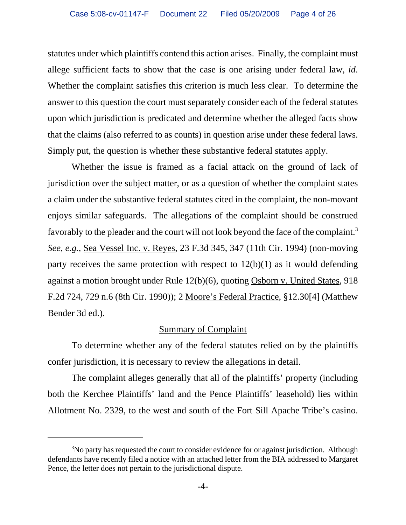statutes under which plaintiffs contend this action arises. Finally, the complaint must allege sufficient facts to show that the case is one arising under federal law, *id*. Whether the complaint satisfies this criterion is much less clear. To determine the answer to this question the court must separately consider each of the federal statutes upon which jurisdiction is predicated and determine whether the alleged facts show that the claims (also referred to as counts) in question arise under these federal laws. Simply put, the question is whether these substantive federal statutes apply.

Whether the issue is framed as a facial attack on the ground of lack of jurisdiction over the subject matter, or as a question of whether the complaint states a claim under the substantive federal statutes cited in the complaint, the non-movant enjoys similar safeguards. The allegations of the complaint should be construed favorably to the pleader and the court will not look beyond the face of the complaint.<sup>3</sup> *See*, *e.g.*, Sea Vessel Inc. v. Reyes, 23 F.3d 345, 347 (11th Cir. 1994) (non-moving party receives the same protection with respect to  $12(b)(1)$  as it would defending against a motion brought under Rule 12(b)(6), quoting Osborn v. United States, 918 F.2d 724, 729 n.6 (8th Cir. 1990)); 2 Moore's Federal Practice, §12.30[4] (Matthew Bender 3d ed.).

## Summary of Complaint

To determine whether any of the federal statutes relied on by the plaintiffs confer jurisdiction, it is necessary to review the allegations in detail.

The complaint alleges generally that all of the plaintiffs' property (including both the Kerchee Plaintiffs' land and the Pence Plaintiffs' leasehold) lies within Allotment No. 2329, to the west and south of the Fort Sill Apache Tribe's casino.

<sup>&</sup>lt;sup>3</sup>No party has requested the court to consider evidence for or against jurisdiction. Although defendants have recently filed a notice with an attached letter from the BIA addressed to Margaret Pence, the letter does not pertain to the jurisdictional dispute.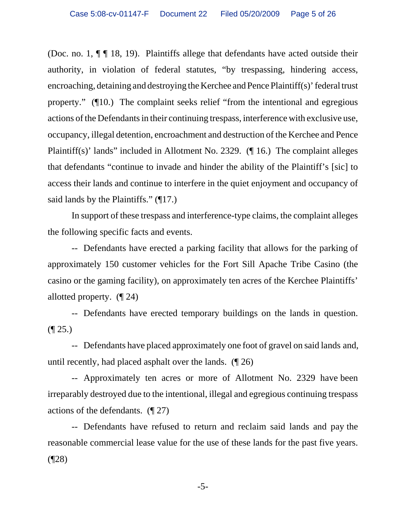(Doc. no. 1,  $\P$   $\P$  18, 19). Plaintiffs allege that defendants have acted outside their authority, in violation of federal statutes, "by trespassing, hindering access, encroaching, detaining and destroying the Kerchee and Pence Plaintiff(s)' federal trust property." (¶10.) The complaint seeks relief "from the intentional and egregious actions of the Defendants in their continuing trespass, interference with exclusive use, occupancy, illegal detention, encroachment and destruction of the Kerchee and Pence Plaintiff(s)' lands" included in Allotment No. 2329. (¶ 16.) The complaint alleges that defendants "continue to invade and hinder the ability of the Plaintiff's [sic] to access their lands and continue to interfere in the quiet enjoyment and occupancy of said lands by the Plaintiffs." (¶17.)

In support of these trespass and interference-type claims, the complaint alleges the following specific facts and events.

-- Defendants have erected a parking facility that allows for the parking of approximately 150 customer vehicles for the Fort Sill Apache Tribe Casino (the casino or the gaming facility), on approximately ten acres of the Kerchee Plaintiffs' allotted property. (¶ 24)

-- Defendants have erected temporary buildings on the lands in question.  $($ | 25.)

-- Defendants have placed approximately one foot of gravel on said lands and, until recently, had placed asphalt over the lands. (¶ 26)

-- Approximately ten acres or more of Allotment No. 2329 have been irreparably destroyed due to the intentional, illegal and egregious continuing trespass actions of the defendants. (¶ 27)

-- Defendants have refused to return and reclaim said lands and pay the reasonable commercial lease value for the use of these lands for the past five years. (¶28)

-5-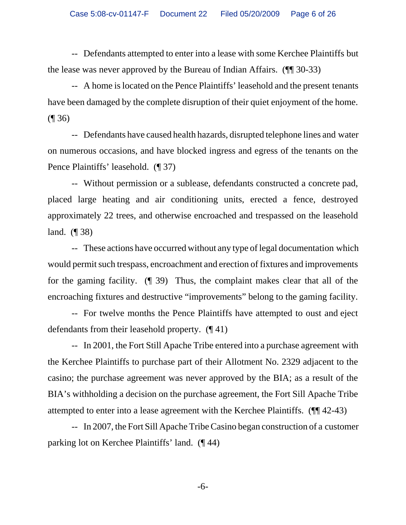-- Defendants attempted to enter into a lease with some Kerchee Plaintiffs but the lease was never approved by the Bureau of Indian Affairs. (¶¶ 30-33)

-- A home is located on the Pence Plaintiffs' leasehold and the present tenants have been damaged by the complete disruption of their quiet enjoyment of the home. (¶ 36)

-- Defendants have caused health hazards, disrupted telephone lines and water on numerous occasions, and have blocked ingress and egress of the tenants on the Pence Plaintiffs' leasehold. (¶ 37)

-- Without permission or a sublease, defendants constructed a concrete pad, placed large heating and air conditioning units, erected a fence, destroyed approximately 22 trees, and otherwise encroached and trespassed on the leasehold land. (¶ 38)

-- These actions have occurred without any type of legal documentation which would permit such trespass, encroachment and erection of fixtures and improvements for the gaming facility. (¶ 39) Thus, the complaint makes clear that all of the encroaching fixtures and destructive "improvements" belong to the gaming facility.

-- For twelve months the Pence Plaintiffs have attempted to oust and eject defendants from their leasehold property. (¶ 41)

-- In 2001, the Fort Still Apache Tribe entered into a purchase agreement with the Kerchee Plaintiffs to purchase part of their Allotment No. 2329 adjacent to the casino; the purchase agreement was never approved by the BIA; as a result of the BIA's withholding a decision on the purchase agreement, the Fort Sill Apache Tribe attempted to enter into a lease agreement with the Kerchee Plaintiffs. (¶¶ 42-43)

-- In 2007, the Fort Sill Apache Tribe Casino began construction of a customer parking lot on Kerchee Plaintiffs' land. (¶ 44)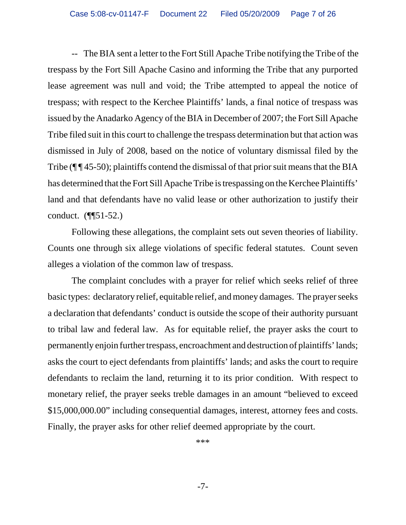-- The BIA sent a letter to the Fort Still Apache Tribe notifying the Tribe of the trespass by the Fort Sill Apache Casino and informing the Tribe that any purported lease agreement was null and void; the Tribe attempted to appeal the notice of trespass; with respect to the Kerchee Plaintiffs' lands, a final notice of trespass was issued by the Anadarko Agency of the BIA in December of 2007; the Fort Sill Apache Tribe filed suit in this court to challenge the trespass determination but that action was dismissed in July of 2008, based on the notice of voluntary dismissal filed by the Tribe (¶¶45-50); plaintiffs contend the dismissal of that prior suit means that the BIA has determined that the Fort Sill Apache Tribe is trespassing on the Kerchee Plaintiffs' land and that defendants have no valid lease or other authorization to justify their conduct. (¶¶51-52.)

Following these allegations, the complaint sets out seven theories of liability. Counts one through six allege violations of specific federal statutes. Count seven alleges a violation of the common law of trespass.

The complaint concludes with a prayer for relief which seeks relief of three basic types: declaratory relief, equitable relief, and money damages. The prayer seeks a declaration that defendants' conduct is outside the scope of their authority pursuant to tribal law and federal law. As for equitable relief, the prayer asks the court to permanently enjoin further trespass, encroachment and destruction of plaintiffs' lands; asks the court to eject defendants from plaintiffs' lands; and asks the court to require defendants to reclaim the land, returning it to its prior condition. With respect to monetary relief, the prayer seeks treble damages in an amount "believed to exceed \$15,000,000.00" including consequential damages, interest, attorney fees and costs. Finally, the prayer asks for other relief deemed appropriate by the court.

\*\*\*

-7-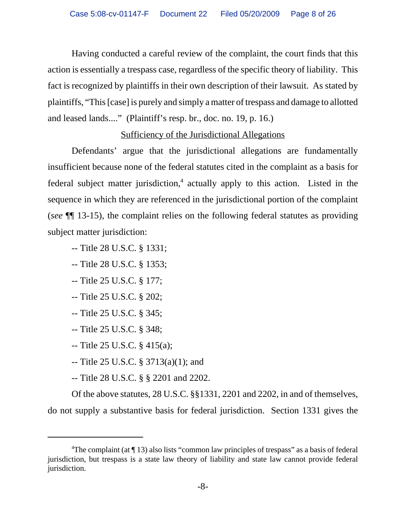Having conducted a careful review of the complaint, the court finds that this action is essentially a trespass case, regardless of the specific theory of liability. This fact is recognized by plaintiffs in their own description of their lawsuit. As stated by plaintiffs, "This [case] is purely and simply a matter of trespass and damage to allotted and leased lands...." (Plaintiff's resp. br., doc. no. 19, p. 16.)

# Sufficiency of the Jurisdictional Allegations

Defendants' argue that the jurisdictional allegations are fundamentally insufficient because none of the federal statutes cited in the complaint as a basis for federal subject matter jurisdiction,<sup>4</sup> actually apply to this action. Listed in the sequence in which they are referenced in the jurisdictional portion of the complaint (*see* ¶¶ 13-15), the complaint relies on the following federal statutes as providing subject matter jurisdiction:

- -- Title 28 U.S.C. § 1331;
- -- Title 28 U.S.C. § 1353;
- -- Title 25 U.S.C. § 177;
- -- Title 25 U.S.C. § 202;
- -- Title 25 U.S.C. § 345;
- -- Title 25 U.S.C. § 348;
- -- Title 25 U.S.C. § 415(a);
- -- Title 25 U.S.C. § 3713(a)(1); and
- -- Title 28 U.S.C. § § 2201 and 2202.

Of the above statutes, 28 U.S.C. §§1331, 2201 and 2202, in and of themselves, do not supply a substantive basis for federal jurisdiction. Section 1331 gives the

<sup>&</sup>lt;sup>4</sup>The complaint (at  $\P$  13) also lists "common law principles of trespass" as a basis of federal jurisdiction, but trespass is a state law theory of liability and state law cannot provide federal jurisdiction.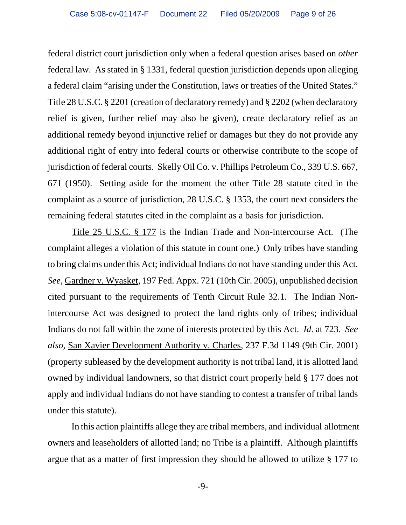federal district court jurisdiction only when a federal question arises based on *other* federal law. As stated in § 1331, federal question jurisdiction depends upon alleging a federal claim "arising under the Constitution, laws or treaties of the United States." Title 28 U.S.C. § 2201 (creation of declaratory remedy) and § 2202 (when declaratory relief is given, further relief may also be given), create declaratory relief as an additional remedy beyond injunctive relief or damages but they do not provide any additional right of entry into federal courts or otherwise contribute to the scope of jurisdiction of federal courts. Skelly Oil Co. v. Phillips Petroleum Co., 339 U.S. 667, 671 (1950). Setting aside for the moment the other Title 28 statute cited in the complaint as a source of jurisdiction, 28 U.S.C. § 1353, the court next considers the remaining federal statutes cited in the complaint as a basis for jurisdiction.

Title 25 U.S.C. § 177 is the Indian Trade and Non-intercourse Act. (The complaint alleges a violation of this statute in count one.) Only tribes have standing to bring claims under this Act; individual Indians do not have standing under this Act. *See*, Gardner v. Wyasket, 197 Fed. Appx. 721 (10th Cir. 2005), unpublished decision cited pursuant to the requirements of Tenth Circuit Rule 32.1. The Indian Nonintercourse Act was designed to protect the land rights only of tribes; individual Indians do not fall within the zone of interests protected by this Act. *Id*. at 723. *See also*, San Xavier Development Authority v. Charles, 237 F.3d 1149 (9th Cir. 2001) (property subleased by the development authority is not tribal land, it is allotted land owned by individual landowners, so that district court properly held § 177 does not apply and individual Indians do not have standing to contest a transfer of tribal lands under this statute).

 In this action plaintiffs allege they are tribal members, and individual allotment owners and leaseholders of allotted land; no Tribe is a plaintiff. Although plaintiffs argue that as a matter of first impression they should be allowed to utilize § 177 to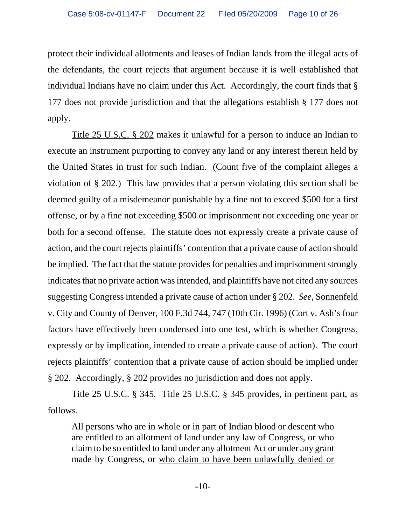protect their individual allotments and leases of Indian lands from the illegal acts of the defendants, the court rejects that argument because it is well established that individual Indians have no claim under this Act. Accordingly, the court finds that § 177 does not provide jurisdiction and that the allegations establish § 177 does not apply.

 Title 25 U.S.C. § 202 makes it unlawful for a person to induce an Indian to execute an instrument purporting to convey any land or any interest therein held by the United States in trust for such Indian. (Count five of the complaint alleges a violation of § 202.) This law provides that a person violating this section shall be deemed guilty of a misdemeanor punishable by a fine not to exceed \$500 for a first offense, or by a fine not exceeding \$500 or imprisonment not exceeding one year or both for a second offense. The statute does not expressly create a private cause of action, and the court rejects plaintiffs' contention that a private cause of action should be implied. The fact that the statute provides for penalties and imprisonment strongly indicates that no private action was intended, and plaintiffs have not cited any sources suggesting Congress intended a private cause of action under § 202. *See*, Sonnenfeld v. City and County of Denver, 100 F.3d 744, 747 (10th Cir. 1996) (Cort v. Ash's four factors have effectively been condensed into one test, which is whether Congress, expressly or by implication, intended to create a private cause of action). The court rejects plaintiffs' contention that a private cause of action should be implied under § 202. Accordingly, § 202 provides no jurisdiction and does not apply.

Title 25 U.S.C. § 345. Title 25 U.S.C. § 345 provides, in pertinent part, as follows.

All persons who are in whole or in part of Indian blood or descent who are entitled to an allotment of land under any law of Congress, or who claim to be so entitled to land under any allotment Act or under any grant made by Congress, or who claim to have been unlawfully denied or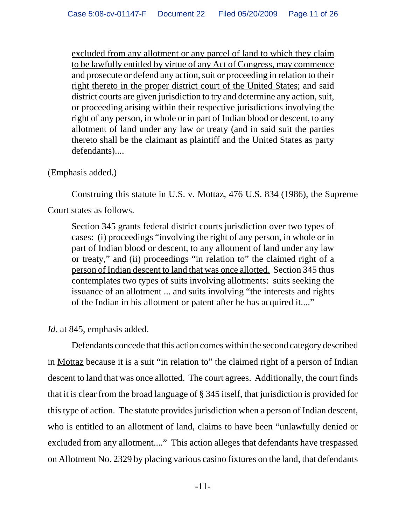excluded from any allotment or any parcel of land to which they claim to be lawfully entitled by virtue of any Act of Congress, may commence and prosecute or defend any action, suit or proceeding in relation to their right thereto in the proper district court of the United States; and said district courts are given jurisdiction to try and determine any action, suit, or proceeding arising within their respective jurisdictions involving the right of any person, in whole or in part of Indian blood or descent, to any allotment of land under any law or treaty (and in said suit the parties thereto shall be the claimant as plaintiff and the United States as party defendants)....

(Emphasis added.)

Construing this statute in U.S. v. Mottaz, 476 U.S. 834 (1986), the Supreme Court states as follows.

Section 345 grants federal district courts jurisdiction over two types of cases: (i) proceedings "involving the right of any person, in whole or in part of Indian blood or descent, to any allotment of land under any law or treaty," and (ii) proceedings "in relation to" the claimed right of a person of Indian descent to land that was once allotted. Section 345 thus contemplates two types of suits involving allotments: suits seeking the issuance of an allotment ... and suits involving "the interests and rights of the Indian in his allotment or patent after he has acquired it...."

*Id*. at 845, emphasis added.

Defendants concede that this action comes within the second category described in Mottaz because it is a suit "in relation to" the claimed right of a person of Indian descent to land that was once allotted. The court agrees. Additionally, the court finds that it is clear from the broad language of § 345 itself, that jurisdiction is provided for this type of action. The statute provides jurisdiction when a person of Indian descent, who is entitled to an allotment of land, claims to have been "unlawfully denied or excluded from any allotment...." This action alleges that defendants have trespassed on Allotment No. 2329 by placing various casino fixtures on the land, that defendants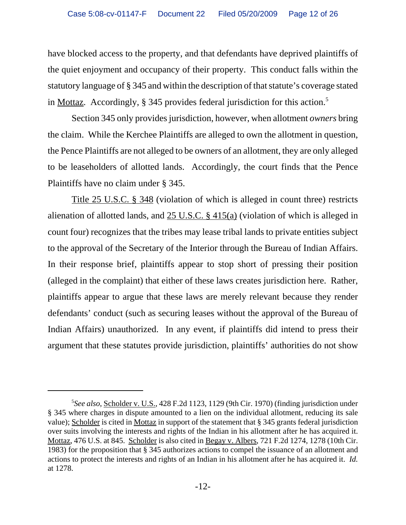have blocked access to the property, and that defendants have deprived plaintiffs of the quiet enjoyment and occupancy of their property. This conduct falls within the statutory language of § 345 and within the description of that statute's coverage stated in Mottaz. Accordingly, § 345 provides federal jurisdiction for this action.<sup>5</sup>

Section 345 only provides jurisdiction, however, when allotment *owners* bring the claim. While the Kerchee Plaintiffs are alleged to own the allotment in question, the Pence Plaintiffs are not alleged to be owners of an allotment, they are only alleged to be leaseholders of allotted lands. Accordingly, the court finds that the Pence Plaintiffs have no claim under § 345.

Title 25 U.S.C. § 348 (violation of which is alleged in count three) restricts alienation of allotted lands, and 25 U.S.C. § 415(a) (violation of which is alleged in count four) recognizes that the tribes may lease tribal lands to private entities subject to the approval of the Secretary of the Interior through the Bureau of Indian Affairs. In their response brief, plaintiffs appear to stop short of pressing their position (alleged in the complaint) that either of these laws creates jurisdiction here. Rather, plaintiffs appear to argue that these laws are merely relevant because they render defendants' conduct (such as securing leases without the approval of the Bureau of Indian Affairs) unauthorized. In any event, if plaintiffs did intend to press their argument that these statutes provide jurisdiction, plaintiffs' authorities do not show

<sup>5</sup> *See also*, Scholder v. U.S., 428 F.2d 1123, 1129 (9th Cir. 1970) (finding jurisdiction under § 345 where charges in dispute amounted to a lien on the individual allotment, reducing its sale value); Scholder is cited in Mottaz in support of the statement that § 345 grants federal jurisdiction over suits involving the interests and rights of the Indian in his allotment after he has acquired it. Mottaz, 476 U.S. at 845. Scholder is also cited in Begay v. Albers, 721 F.2d 1274, 1278 (10th Cir. 1983) for the proposition that § 345 authorizes actions to compel the issuance of an allotment and actions to protect the interests and rights of an Indian in his allotment after he has acquired it. *Id.* at 1278.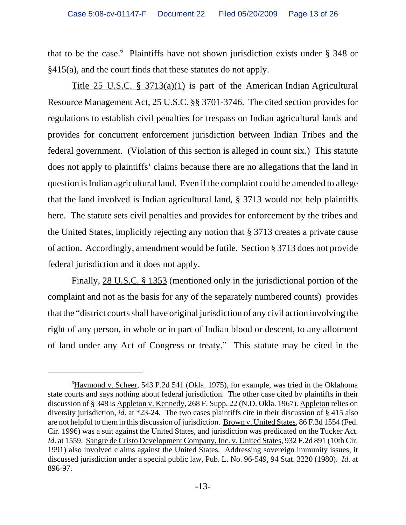that to be the case.<sup>6</sup> Plaintiffs have not shown jurisdiction exists under § 348 or §415(a), and the court finds that these statutes do not apply.

 Title 25 U.S.C. § 3713(a)(1) is part of the American Indian Agricultural Resource Management Act, 25 U.S.C. §§ 3701-3746. The cited section provides for regulations to establish civil penalties for trespass on Indian agricultural lands and provides for concurrent enforcement jurisdiction between Indian Tribes and the federal government. (Violation of this section is alleged in count six.) This statute does not apply to plaintiffs' claims because there are no allegations that the land in question is Indian agricultural land. Even if the complaint could be amended to allege that the land involved is Indian agricultural land, § 3713 would not help plaintiffs here. The statute sets civil penalties and provides for enforcement by the tribes and the United States, implicitly rejecting any notion that § 3713 creates a private cause of action. Accordingly, amendment would be futile. Section § 3713 does not provide federal jurisdiction and it does not apply.

Finally, 28 U.S.C. § 1353 (mentioned only in the jurisdictional portion of the complaint and not as the basis for any of the separately numbered counts) provides that the "district courts shall have original jurisdiction of any civil action involving the right of any person, in whole or in part of Indian blood or descent, to any allotment of land under any Act of Congress or treaty." This statute may be cited in the

<sup>&</sup>lt;sup>6</sup>Haymond v. Scheer, 543 P.2d 541 (Okla. 1975), for example, was tried in the Oklahoma state courts and says nothing about federal jurisdiction. The other case cited by plaintiffs in their discussion of § 348 is Appleton v. Kennedy, 268 F. Supp. 22 (N.D. Okla. 1967). Appleton relies on diversity jurisdiction, *id*. at \*23-24. The two cases plaintiffs cite in their discussion of § 415 also are not helpful to them in this discussion of jurisdiction. Brown v. United States, 86 F.3d 1554 (Fed. Cir. 1996) was a suit against the United States, and jurisdiction was predicated on the Tucker Act. *Id.* at 1559. Sangre de Cristo Development Company, Inc. v. United States, 932 F.2d 891 (10th Cir. 1991) also involved claims against the United States. Addressing sovereign immunity issues, it discussed jurisdiction under a special public law, Pub. L. No. 96-549, 94 Stat. 3220 (1980). *Id*. at 896-97.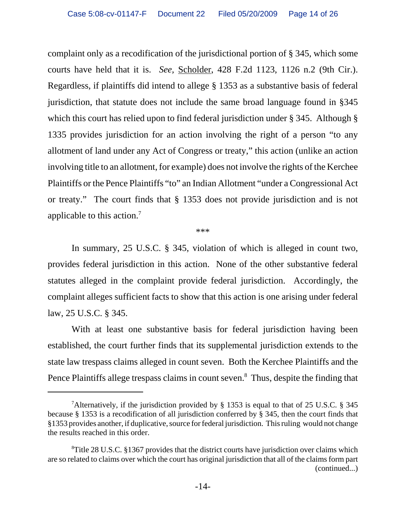complaint only as a recodification of the jurisdictional portion of § 345, which some courts have held that it is. *See,* Scholder, 428 F.2d 1123, 1126 n.2 (9th Cir.). Regardless, if plaintiffs did intend to allege § 1353 as a substantive basis of federal jurisdiction, that statute does not include the same broad language found in §345 which this court has relied upon to find federal jurisdiction under § 345. Although § 1335 provides jurisdiction for an action involving the right of a person "to any allotment of land under any Act of Congress or treaty," this action (unlike an action involving title to an allotment, for example) does not involve the rights of the Kerchee Plaintiffs or the Pence Plaintiffs "to" an Indian Allotment "under a Congressional Act or treaty." The court finds that § 1353 does not provide jurisdiction and is not applicable to this action.7

\*\*\*

In summary, 25 U.S.C. § 345, violation of which is alleged in count two, provides federal jurisdiction in this action. None of the other substantive federal statutes alleged in the complaint provide federal jurisdiction. Accordingly, the complaint alleges sufficient facts to show that this action is one arising under federal law, 25 U.S.C. § 345.

With at least one substantive basis for federal jurisdiction having been established, the court further finds that its supplemental jurisdiction extends to the state law trespass claims alleged in count seven. Both the Kerchee Plaintiffs and the Pence Plaintiffs allege trespass claims in count seven.<sup>8</sup> Thus, despite the finding that

<sup>&</sup>lt;sup>7</sup>Alternatively, if the jurisdiction provided by § 1353 is equal to that of 25 U.S.C. § 345 because § 1353 is a recodification of all jurisdiction conferred by § 345, then the court finds that §1353 provides another, if duplicative, source for federal jurisdiction. This ruling would not change the results reached in this order.

<sup>&</sup>lt;sup>8</sup>Title 28 U.S.C. §1367 provides that the district courts have jurisdiction over claims which are so related to claims over which the court has original jurisdiction that all of the claims form part (continued...)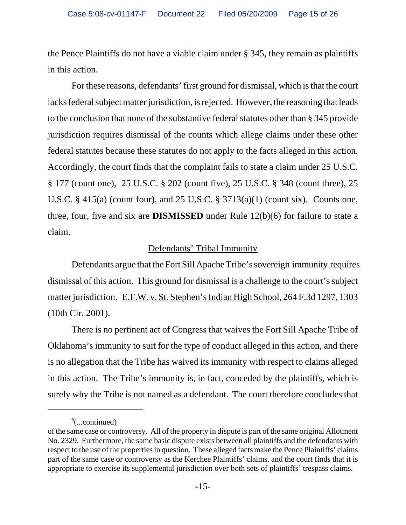the Pence Plaintiffs do not have a viable claim under § 345, they remain as plaintiffs in this action.

For these reasons, defendants' first ground for dismissal, which is that the court lacks federal subject matter jurisdiction, is rejected. However, the reasoning that leads to the conclusion that none of the substantive federal statutes other than § 345 provide jurisdiction requires dismissal of the counts which allege claims under these other federal statutes because these statutes do not apply to the facts alleged in this action. Accordingly, the court finds that the complaint fails to state a claim under 25 U.S.C. § 177 (count one), 25 U.S.C. § 202 (count five), 25 U.S.C. § 348 (count three), 25 U.S.C. § 415(a) (count four), and 25 U.S.C. § 3713(a)(1) (count six). Counts one, three, four, five and six are **DISMISSED** under Rule 12(b)(6) for failure to state a claim.

## Defendants' Tribal Immunity

 Defendants argue that the Fort Sill Apache Tribe's sovereign immunity requires dismissal of this action. This ground for dismissal is a challenge to the court's subject matter jurisdiction. E.F.W. v. St. Stephen's Indian High School, 264 F.3d 1297, 1303 (10th Cir. 2001).

There is no pertinent act of Congress that waives the Fort Sill Apache Tribe of Oklahoma's immunity to suit for the type of conduct alleged in this action, and there is no allegation that the Tribe has waived its immunity with respect to claims alleged in this action. The Tribe's immunity is, in fact, conceded by the plaintiffs, which is surely why the Tribe is not named as a defendant. The court therefore concludes that

<sup>8</sup> (...continued)

of the same case or controversy. All of the property in dispute is part of the same original Allotment No. 2329. Furthermore, the same basic dispute exists between all plaintiffs and the defendants with respect to the use of the properties in question. These alleged facts make the Pence Plaintiffs' claims part of the same case or controversy as the Kerchee Plaintiffs' claims, and the court finds that it is appropriate to exercise its supplemental jurisdiction over both sets of plaintiffs' trespass claims.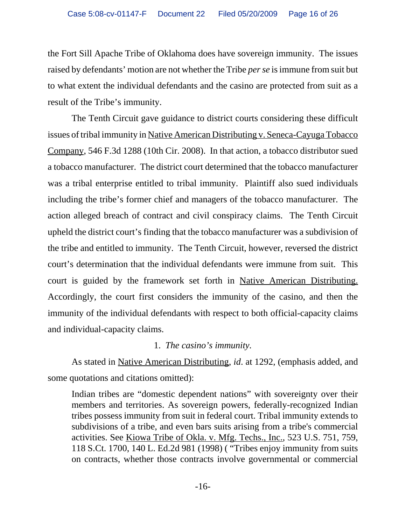the Fort Sill Apache Tribe of Oklahoma does have sovereign immunity. The issues raised by defendants' motion are not whether the Tribe *per se* is immune from suit but to what extent the individual defendants and the casino are protected from suit as a result of the Tribe's immunity.

The Tenth Circuit gave guidance to district courts considering these difficult issues of tribal immunity in Native American Distributing v. Seneca-Cayuga Tobacco Company, 546 F.3d 1288 (10th Cir. 2008). In that action, a tobacco distributor sued a tobacco manufacturer. The district court determined that the tobacco manufacturer was a tribal enterprise entitled to tribal immunity. Plaintiff also sued individuals including the tribe's former chief and managers of the tobacco manufacturer. The action alleged breach of contract and civil conspiracy claims. The Tenth Circuit upheld the district court's finding that the tobacco manufacturer was a subdivision of the tribe and entitled to immunity. The Tenth Circuit, however, reversed the district court's determination that the individual defendants were immune from suit. This court is guided by the framework set forth in Native American Distributing. Accordingly, the court first considers the immunity of the casino, and then the immunity of the individual defendants with respect to both official-capacity claims and individual-capacity claims.

## 1. *The casino's immunity.*

As stated in Native American Distributing, *id*. at 1292, (emphasis added, and some quotations and citations omitted):

Indian tribes are "domestic dependent nations" with sovereignty over their members and territories. As sovereign powers, federally-recognized Indian tribes possess immunity from suit in federal court. Tribal immunity extends to subdivisions of a tribe, and even bars suits arising from a tribe's commercial activities. See Kiowa Tribe of Okla. v. Mfg. Techs., Inc., 523 U.S. 751, 759, 118 S.Ct. 1700, 140 L. Ed.2d 981 (1998) ( "Tribes enjoy immunity from suits on contracts, whether those contracts involve governmental or commercial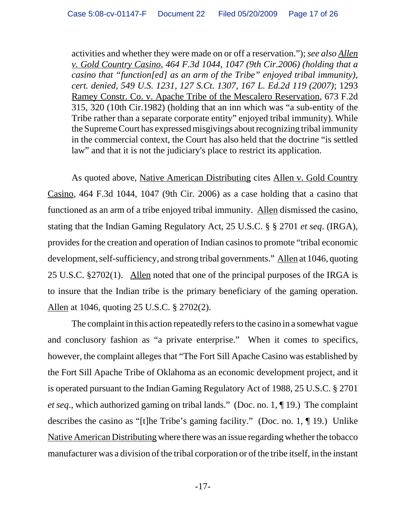activities and whether they were made on or off a reservation."); *see also Allen v. Gold Country Casino, 464 F.3d 1044, 1047 (9th Cir.2006) (holding that a casino that "function[ed] as an arm of the Tribe" enjoyed tribal immunity), cert. denied, 549 U.S. 1231, 127 S.Ct. 1307, 167 L. Ed.2d 119 (2007)*; 1293 Ramey Constr. Co. v. Apache Tribe of the Mescalero Reservation, 673 F.2d 315, 320 (10th Cir.1982) (holding that an inn which was "a sub-entity of the Tribe rather than a separate corporate entity" enjoyed tribal immunity). While the Supreme Court has expressed misgivings about recognizing tribal immunity in the commercial context, the Court has also held that the doctrine "is settled law" and that it is not the judiciary's place to restrict its application.

As quoted above, Native American Distributing cites Allen v. Gold Country Casino, 464 F.3d 1044, 1047 (9th Cir. 2006) as a case holding that a casino that functioned as an arm of a tribe enjoyed tribal immunity. Allen dismissed the casino, stating that the Indian Gaming Regulatory Act, 25 U.S.C. § § 2701 *et seq*. (IRGA), provides for the creation and operation of Indian casinos to promote "tribal economic development, self-sufficiency, and strong tribal governments." Allen at 1046, quoting 25 U.S.C. §2702(1). Allen noted that one of the principal purposes of the IRGA is to insure that the Indian tribe is the primary beneficiary of the gaming operation. Allen at 1046, quoting 25 U.S.C. § 2702(2).

The complaint in this action repeatedly refers to the casino in a somewhat vague and conclusory fashion as "a private enterprise." When it comes to specifics, however, the complaint alleges that "The Fort Sill Apache Casino was established by the Fort Sill Apache Tribe of Oklahoma as an economic development project, and it is operated pursuant to the Indian Gaming Regulatory Act of 1988, 25 U.S.C. § 2701 *et seq*., which authorized gaming on tribal lands." (Doc. no. 1, ¶ 19.) The complaint describes the casino as "[t]he Tribe's gaming facility." (Doc. no. 1, ¶ 19.) Unlike Native American Distributing where there was an issue regarding whether the tobacco manufacturer was a division of the tribal corporation or of the tribe itself, in the instant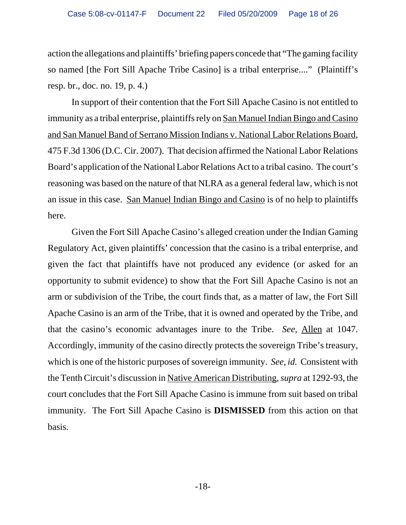action the allegations and plaintiffs' briefing papers concede that "The gaming facility so named [the Fort Sill Apache Tribe Casino] is a tribal enterprise...." (Plaintiff's resp. br., doc. no. 19, p. 4.)

In support of their contention that the Fort Sill Apache Casino is not entitled to immunity as a tribal enterprise, plaintiffs rely on San Manuel Indian Bingo and Casino and San Manuel Band of Serrano Mission Indians v. National Labor Relations Board, 475 F.3d 1306 (D.C. Cir. 2007). That decision affirmed the National Labor Relations Board's application of the National Labor Relations Act to a tribal casino. The court's reasoning was based on the nature of that NLRA as a general federal law, which is not an issue in this case. San Manuel Indian Bingo and Casino is of no help to plaintiffs here.

Given the Fort Sill Apache Casino's alleged creation under the Indian Gaming Regulatory Act, given plaintiffs' concession that the casino is a tribal enterprise, and given the fact that plaintiffs have not produced any evidence (or asked for an opportunity to submit evidence) to show that the Fort Sill Apache Casino is not an arm or subdivision of the Tribe, the court finds that, as a matter of law, the Fort Sill Apache Casino is an arm of the Tribe, that it is owned and operated by the Tribe, and that the casino's economic advantages inure to the Tribe. *See*, Allen at 1047. Accordingly, immunity of the casino directly protects the sovereign Tribe's treasury, which is one of the historic purposes of sovereign immunity. *See*, *id.* Consistent with the Tenth Circuit's discussion in Native American Distributing, *supra* at 1292-93, the court concludes that the Fort Sill Apache Casino is immune from suit based on tribal immunity. The Fort Sill Apache Casino is **DISMISSED** from this action on that basis.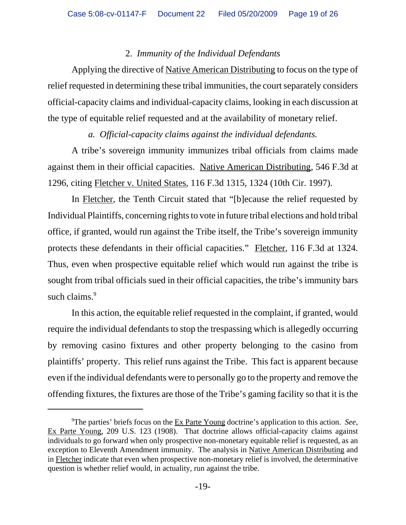## 2. *Immunity of the Individual Defendants*

Applying the directive of Native American Distributing to focus on the type of relief requested in determining these tribal immunities, the court separately considers official-capacity claims and individual-capacity claims, looking in each discussion at the type of equitable relief requested and at the availability of monetary relief.

#### *a. Official-capacity claims against the individual defendants.*

A tribe's sovereign immunity immunizes tribal officials from claims made against them in their official capacities. Native American Distributing, 546 F.3d at 1296, citing Fletcher v. United States, 116 F.3d 1315, 1324 (10th Cir. 1997).

In Fletcher, the Tenth Circuit stated that "[b]ecause the relief requested by Individual Plaintiffs, concerning rights to vote in future tribal elections and hold tribal office, if granted, would run against the Tribe itself, the Tribe's sovereign immunity protects these defendants in their official capacities." Fletcher, 116 F.3d at 1324. Thus, even when prospective equitable relief which would run against the tribe is sought from tribal officials sued in their official capacities, the tribe's immunity bars such claims.<sup>9</sup>

In this action, the equitable relief requested in the complaint, if granted, would require the individual defendants to stop the trespassing which is allegedly occurring by removing casino fixtures and other property belonging to the casino from plaintiffs' property. This relief runs against the Tribe. This fact is apparent because even if the individual defendants were to personally go to the property and remove the offending fixtures, the fixtures are those of the Tribe's gaming facility so that it is the

<sup>9</sup> The parties' briefs focus on the Ex Parte Young doctrine's application to this action. *See*, Ex Parte Young, 209 U.S. 123 (1908). That doctrine allows official-capacity claims against individuals to go forward when only prospective non-monetary equitable relief is requested, as an exception to Eleventh Amendment immunity. The analysis in Native American Distributing and in Fletcher indicate that even when prospective non-monetary relief is involved, the determinative question is whether relief would, in actuality, run against the tribe.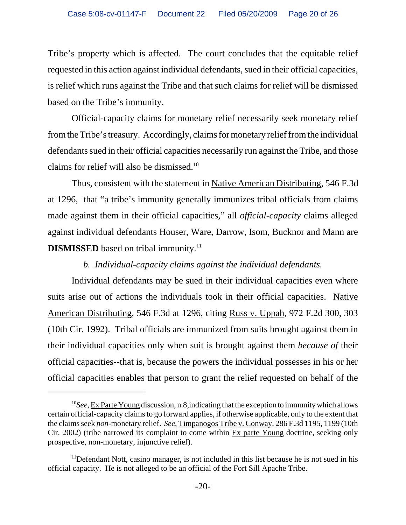Tribe's property which is affected. The court concludes that the equitable relief requested in this action against individual defendants, sued in their official capacities, is relief which runs against the Tribe and that such claims for relief will be dismissed based on the Tribe's immunity.

Official-capacity claims for monetary relief necessarily seek monetary relief from the Tribe's treasury. Accordingly, claims for monetary relief from the individual defendants sued in their official capacities necessarily run against the Tribe, and those claims for relief will also be dismissed.<sup>10</sup>

 Thus, consistent with the statement in Native American Distributing, 546 F.3d at 1296, that "a tribe's immunity generally immunizes tribal officials from claims made against them in their official capacities," all *official-capacity* claims alleged against individual defendants Houser, Ware, Darrow, Isom, Bucknor and Mann are **DISMISSED** based on tribal immunity.<sup>11</sup>

# *b. Individual-capacity claims against the individual defendants.*

Individual defendants may be sued in their individual capacities even where suits arise out of actions the individuals took in their official capacities. Native American Distributing, 546 F.3d at 1296, citing Russ v. Uppah, 972 F.2d 300, 303 (10th Cir. 1992). Tribal officials are immunized from suits brought against them in their individual capacities only when suit is brought against them *because of* their official capacities--that is, because the powers the individual possesses in his or her official capacities enables that person to grant the relief requested on behalf of the

<sup>10</sup>*See*, Ex Parte Young discussion, n.8,indicating that the exception to immunity which allows certain official-capacity claims to go forward applies, if otherwise applicable, only to the extent that the claims seek *non*-monetary relief. *See*, Timpanogos Tribe v. Conway, 286 F.3d 1195, 1199 (10th Cir. 2002) (tribe narrowed its complaint to come within  $Ex$  parte Young doctrine, seeking only prospective, non-monetary, injunctive relief).

<sup>&</sup>lt;sup>11</sup>Defendant Nott, casino manager, is not included in this list because he is not sued in his official capacity. He is not alleged to be an official of the Fort Sill Apache Tribe.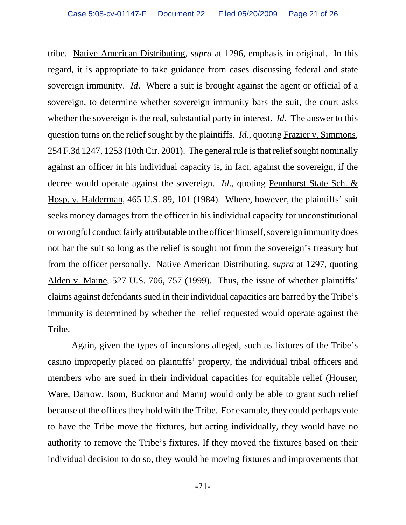tribe. Native American Distributing, *supra* at 1296, emphasis in original. In this regard, it is appropriate to take guidance from cases discussing federal and state sovereign immunity. *Id*. Where a suit is brought against the agent or official of a sovereign, to determine whether sovereign immunity bars the suit, the court asks whether the sovereign is the real, substantial party in interest. *Id*. The answer to this question turns on the relief sought by the plaintiffs. *Id.*, quoting Frazier v. Simmons, 254 F.3d 1247, 1253 (10th Cir. 2001). The general rule is that relief sought nominally against an officer in his individual capacity is, in fact, against the sovereign, if the decree would operate against the sovereign. *Id*., quoting Pennhurst State Sch. & Hosp. v. Halderman, 465 U.S. 89, 101 (1984). Where, however, the plaintiffs' suit seeks money damages from the officer in his individual capacity for unconstitutional or wrongful conduct fairly attributable to the officer himself, sovereign immunity does not bar the suit so long as the relief is sought not from the sovereign's treasury but from the officer personally. Native American Distributing, *supra* at 1297, quoting Alden v. Maine, 527 U.S. 706, 757 (1999). Thus, the issue of whether plaintiffs' claims against defendants sued in their individual capacities are barred by the Tribe's immunity is determined by whether the relief requested would operate against the Tribe.

Again, given the types of incursions alleged, such as fixtures of the Tribe's casino improperly placed on plaintiffs' property, the individual tribal officers and members who are sued in their individual capacities for equitable relief (Houser, Ware, Darrow, Isom, Bucknor and Mann) would only be able to grant such relief because of the offices they hold with the Tribe. For example, they could perhaps vote to have the Tribe move the fixtures, but acting individually, they would have no authority to remove the Tribe's fixtures. If they moved the fixtures based on their individual decision to do so, they would be moving fixtures and improvements that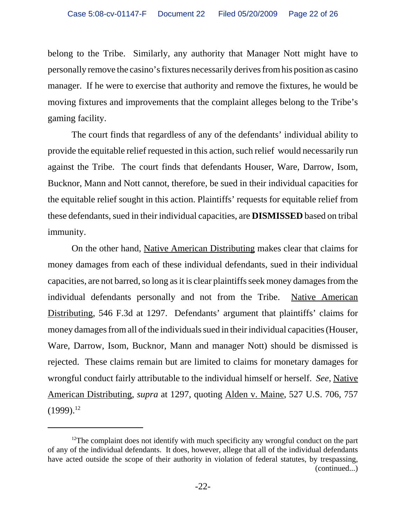belong to the Tribe. Similarly, any authority that Manager Nott might have to personally remove the casino's fixtures necessarily derives from his position as casino manager. If he were to exercise that authority and remove the fixtures, he would be moving fixtures and improvements that the complaint alleges belong to the Tribe's gaming facility.

The court finds that regardless of any of the defendants' individual ability to provide the equitable relief requested in this action, such relief would necessarily run against the Tribe. The court finds that defendants Houser, Ware, Darrow, Isom, Bucknor, Mann and Nott cannot, therefore, be sued in their individual capacities for the equitable relief sought in this action. Plaintiffs' requests for equitable relief from these defendants, sued in their individual capacities, are **DISMISSED** based on tribal immunity.

On the other hand, Native American Distributing makes clear that claims for money damages from each of these individual defendants, sued in their individual capacities, are not barred, so long as it is clear plaintiffs seek money damages from the individual defendants personally and not from the Tribe. Native American Distributing, 546 F.3d at 1297. Defendants' argument that plaintiffs' claims for money damages from all of the individuals sued in their individual capacities (Houser, Ware, Darrow, Isom, Bucknor, Mann and manager Nott) should be dismissed is rejected. These claims remain but are limited to claims for monetary damages for wrongful conduct fairly attributable to the individual himself or herself. *See*, Native American Distributing, *supra* at 1297, quoting Alden v. Maine, 527 U.S. 706, 757  $(1999).^{12}$ 

 $12$ The complaint does not identify with much specificity any wrongful conduct on the part of any of the individual defendants. It does, however, allege that all of the individual defendants have acted outside the scope of their authority in violation of federal statutes, by trespassing, (continued...)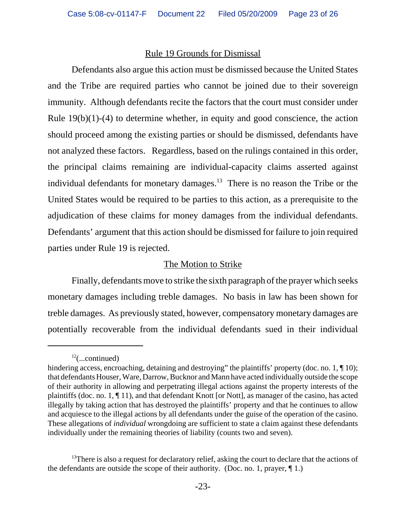#### Rule 19 Grounds for Dismissal

Defendants also argue this action must be dismissed because the United States and the Tribe are required parties who cannot be joined due to their sovereign immunity. Although defendants recite the factors that the court must consider under Rule  $19(b)(1)-(4)$  to determine whether, in equity and good conscience, the action should proceed among the existing parties or should be dismissed, defendants have not analyzed these factors. Regardless, based on the rulings contained in this order, the principal claims remaining are individual-capacity claims asserted against individual defendants for monetary damages.<sup>13</sup> There is no reason the Tribe or the United States would be required to be parties to this action, as a prerequisite to the adjudication of these claims for money damages from the individual defendants. Defendants' argument that this action should be dismissed for failure to join required parties under Rule 19 is rejected.

## The Motion to Strike

Finally, defendants move to strike the sixth paragraph of the prayer which seeks monetary damages including treble damages. No basis in law has been shown for treble damages. As previously stated, however, compensatory monetary damages are potentially recoverable from the individual defendants sued in their individual

 $^{12}$ (...continued)

hindering access, encroaching, detaining and destroying" the plaintiffs' property (doc. no. 1, ¶ 10); that defendants Houser, Ware, Darrow, Bucknor and Mann have acted individually outside the scope of their authority in allowing and perpetrating illegal actions against the property interests of the plaintiffs (doc. no. 1, ¶ 11), and that defendant Knott [or Nott], as manager of the casino, has acted illegally by taking action that has destroyed the plaintiffs' property and that he continues to allow and acquiesce to the illegal actions by all defendants under the guise of the operation of the casino. These allegations of *individual* wrongdoing are sufficient to state a claim against these defendants individually under the remaining theories of liability (counts two and seven).

<sup>&</sup>lt;sup>13</sup>There is also a request for declaratory relief, asking the court to declare that the actions of the defendants are outside the scope of their authority. (Doc. no. 1, prayer,  $\P$  1.)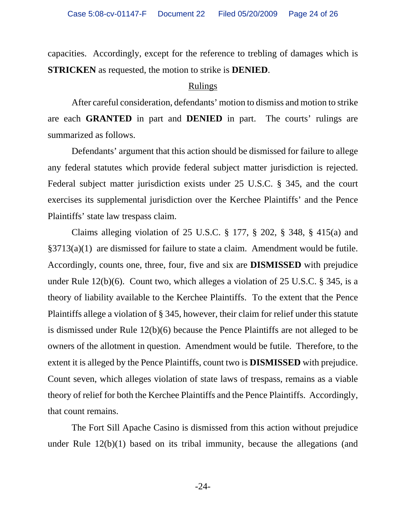capacities. Accordingly, except for the reference to trebling of damages which is **STRICKEN** as requested, the motion to strike is **DENIED**.

#### Rulings

After careful consideration, defendants' motion to dismiss and motion to strike are each **GRANTED** in part and **DENIED** in part. The courts' rulings are summarized as follows.

Defendants' argument that this action should be dismissed for failure to allege any federal statutes which provide federal subject matter jurisdiction is rejected. Federal subject matter jurisdiction exists under 25 U.S.C. § 345, and the court exercises its supplemental jurisdiction over the Kerchee Plaintiffs' and the Pence Plaintiffs' state law trespass claim.

Claims alleging violation of 25 U.S.C. § 177, § 202, § 348, § 415(a) and §3713(a)(1) are dismissed for failure to state a claim. Amendment would be futile. Accordingly, counts one, three, four, five and six are **DISMISSED** with prejudice under Rule 12(b)(6). Count two, which alleges a violation of 25 U.S.C. § 345, is a theory of liability available to the Kerchee Plaintiffs. To the extent that the Pence Plaintiffs allege a violation of § 345, however, their claim for relief under this statute is dismissed under Rule 12(b)(6) because the Pence Plaintiffs are not alleged to be owners of the allotment in question. Amendment would be futile. Therefore, to the extent it is alleged by the Pence Plaintiffs, count two is **DISMISSED** with prejudice. Count seven, which alleges violation of state laws of trespass, remains as a viable theory of relief for both the Kerchee Plaintiffs and the Pence Plaintiffs. Accordingly, that count remains.

The Fort Sill Apache Casino is dismissed from this action without prejudice under Rule 12(b)(1) based on its tribal immunity, because the allegations (and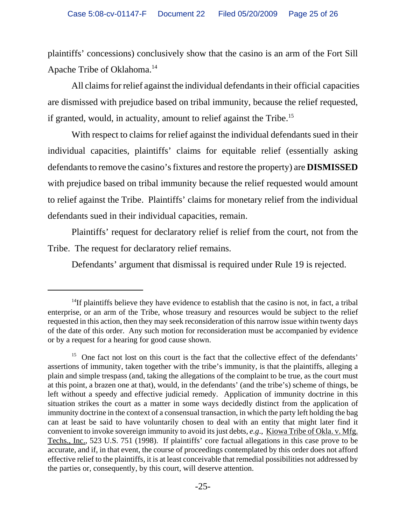plaintiffs' concessions) conclusively show that the casino is an arm of the Fort Sill Apache Tribe of Oklahoma.14

 All claims for relief against the individual defendants in their official capacities are dismissed with prejudice based on tribal immunity, because the relief requested, if granted, would, in actuality, amount to relief against the Tribe.<sup>15</sup>

With respect to claims for relief against the individual defendants sued in their individual capacities, plaintiffs' claims for equitable relief (essentially asking defendants to remove the casino's fixtures and restore the property) are **DISMISSED** with prejudice based on tribal immunity because the relief requested would amount to relief against the Tribe. Plaintiffs' claims for monetary relief from the individual defendants sued in their individual capacities, remain.

Plaintiffs' request for declaratory relief is relief from the court, not from the Tribe. The request for declaratory relief remains.

Defendants' argument that dismissal is required under Rule 19 is rejected.

 $14$ If plaintiffs believe they have evidence to establish that the casino is not, in fact, a tribal enterprise, or an arm of the Tribe, whose treasury and resources would be subject to the relief requested in this action, then they may seek reconsideration of this narrow issue within twenty days of the date of this order. Any such motion for reconsideration must be accompanied by evidence or by a request for a hearing for good cause shown.

<sup>&</sup>lt;sup>15</sup> One fact not lost on this court is the fact that the collective effect of the defendants' assertions of immunity, taken together with the tribe's immunity, is that the plaintiffs, alleging a plain and simple trespass (and, taking the allegations of the complaint to be true, as the court must at this point, a brazen one at that), would, in the defendants' (and the tribe's) scheme of things, be left without a speedy and effective judicial remedy. Application of immunity doctrine in this situation strikes the court as a matter in some ways decidedly distinct from the application of immunity doctrine in the context of a consensual transaction, in which the party left holding the bag can at least be said to have voluntarily chosen to deal with an entity that might later find it convenient to invoke sovereign immunity to avoid its just debts, *e.g*., Kiowa Tribe of Okla. v. Mfg. Techs., Inc., 523 U.S. 751 (1998). If plaintiffs' core factual allegations in this case prove to be accurate, and if, in that event, the course of proceedings contemplated by this order does not afford effective relief to the plaintiffs, it is at least conceivable that remedial possibilities not addressed by the parties or, consequently, by this court, will deserve attention.